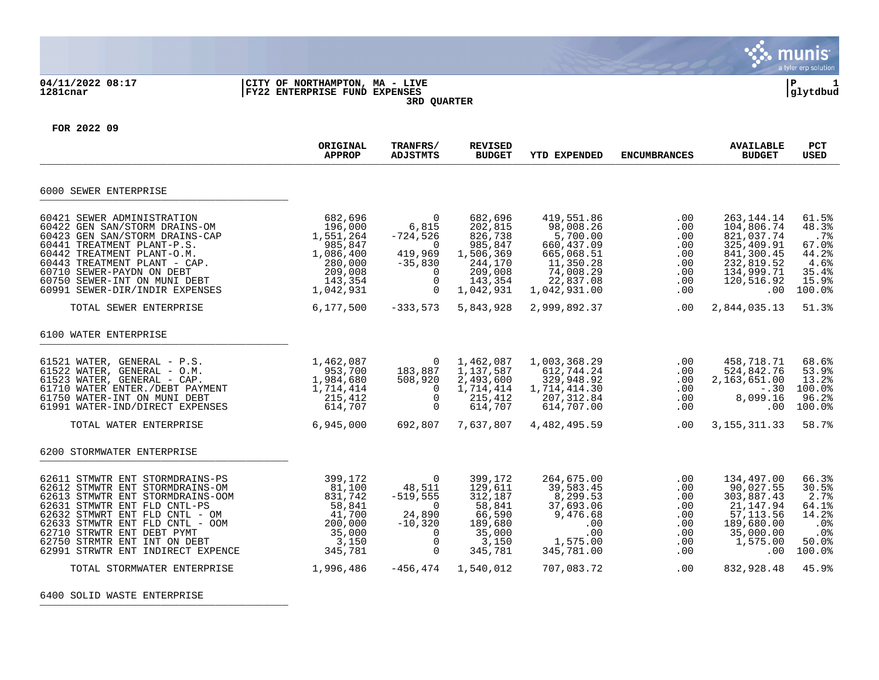

## **04/11/2022 08:17 |CITY OF NORTHAMPTON, MA - LIVE |P 1 1281cnar |FY22 ENTERPRISE FUND EXPENSES |glytdbud 3RD QUARTER**



**FOR 2022 09**

|                                                                                                                                                                                                                                                                                                                                               | ORIGINAL<br><b>APPROP</b>                                                                              | TRANFRS/<br><b>ADJSTMTS</b>                                                                                        | <b>REVISED</b><br><b>BUDGET</b>                                                                         | <b>YTD EXPENDED</b>                                                                                                     | <b>ENCUMBRANCES</b>                                                     | <b>AVAILABLE</b><br><b>BUDGET</b>                                                                                             | <b>PCT</b><br><b>USED</b>                                                          |
|-----------------------------------------------------------------------------------------------------------------------------------------------------------------------------------------------------------------------------------------------------------------------------------------------------------------------------------------------|--------------------------------------------------------------------------------------------------------|--------------------------------------------------------------------------------------------------------------------|---------------------------------------------------------------------------------------------------------|-------------------------------------------------------------------------------------------------------------------------|-------------------------------------------------------------------------|-------------------------------------------------------------------------------------------------------------------------------|------------------------------------------------------------------------------------|
| 6000 SEWER ENTERPRISE                                                                                                                                                                                                                                                                                                                         |                                                                                                        |                                                                                                                    |                                                                                                         |                                                                                                                         |                                                                         |                                                                                                                               |                                                                                    |
| 60421 SEWER ADMINISTRATION<br>60422 GEN SAN/STORM DRAINS-OM<br>60423 GEN SAN/STORM DRAINS-CAP<br>60441 TREATMENT PLANT-P.S.<br>60442 TREATMENT PLANT-O.M.<br>60443 TREATMENT PLANT - CAP.<br>60710 SEWER-PAYDN ON DEBT<br>60750 SEWER-INT ON MUNI DEBT<br>60991 SEWER-DIR/INDIR EXPENSES                                                      | 682,696<br>196,000<br>1,551,264<br>985,847<br>1,086,400<br>280,000<br>209,008<br>143,354<br>1,042,931  | 0<br>6,815<br>$-724,526$<br>0<br>419,969<br>$-35,830$<br>$\mathbf 0$<br>$\mathbf 0$<br>$\Omega$                    | 682,696<br>202,815<br>826,738<br>985,847<br>1,506,369<br>244,170<br>209,008<br>143,354<br>1,042,931     | 419,551.86<br>98,008.26<br>5,700.00<br>660, 437.09<br>665,068.51<br>11,350.28<br>74,008.29<br>22,837.08<br>1,042,931.00 | .00<br>.00<br>.00<br>.00<br>.00<br>.00<br>.00<br>.00<br>.00             | 263, 144. 14<br>104,806.74<br>821,037.74<br>325,409.91<br>841,300.45<br>232,819.52<br>134,999.71<br>120,516.92<br>.00         | 61.5%<br>48.3%<br>.7%<br>67.0%<br>44.2%<br>4.6%<br>35.4%<br>15.9%<br>100.0%        |
| TOTAL SEWER ENTERPRISE                                                                                                                                                                                                                                                                                                                        | 6,177,500                                                                                              | $-333,573$                                                                                                         | 5,843,928                                                                                               | 2,999,892.37                                                                                                            | .00                                                                     | 2,844,035.13                                                                                                                  | 51.3%                                                                              |
| 6100 WATER ENTERPRISE<br>61521 WATER, GENERAL - P.S.<br>61522 WATER, GENERAL - O.M.<br>61523 WATER, GENERAL - CAP.<br>61710 WATER ENTER./DEBT PAYMENT<br>61750 WATER-INT ON MUNI DEBT<br>61991 WATER-IND/DIRECT EXPENSES<br>TOTAL WATER ENTERPRISE                                                                                            | 1,462,087<br>953,700<br>1,984,680<br>1,714,414<br>215,412<br>614,707<br>6,945,000                      | 0<br>183,887<br>508,920<br>$\Omega$<br>$\mathbf 0$<br>$\Omega$<br>692,807                                          | 1,462,087<br>1,137,587<br>2,493,600<br>1,714,414<br>215,412<br>614,707<br>7,637,807                     | 1,003,368.29<br>612,744.24<br>329,948.92<br>1,714,414.30<br>207, 312.84<br>614,707.00<br>4,482,495.59                   | .00<br>.00<br>.00<br>.00<br>.00<br>.00<br>.00                           | 458,718.71<br>524,842.76<br>2,163,651.00<br>$-.30$<br>8,099.16<br>.00<br>3, 155, 311. 33                                      | 68.6%<br>53.9%<br>13.2%<br>100.0%<br>96.2%<br>100.0%<br>58.7%                      |
| 6200 STORMWATER ENTERPRISE                                                                                                                                                                                                                                                                                                                    |                                                                                                        |                                                                                                                    |                                                                                                         |                                                                                                                         |                                                                         |                                                                                                                               |                                                                                    |
| 62611 STMWTR ENT STORMDRAINS-PS<br>62612 STMWTR ENT STORMDRAINS-OM<br>62613 STMWTR ENT STORMDRAINS-OOM<br>62631 STMWTR ENT FLD CNTL-PS<br>62632 STMWRT ENT FLD CNTL - OM<br>62633 STMWTR ENT FLD CNTL - OOM<br>62710 STRWTR ENT DEBT PYMT<br>62750 STRMTR ENT INT ON DEBT<br>62991 STRWTR ENT INDIRECT EXPENCE<br>TOTAL STORMWATER ENTERPRISE | 399,172<br>81,100<br>831,742<br>58,841<br>41,700<br>200,000<br>35,000<br>3,150<br>345,781<br>1,996,486 | $\Omega$<br>48,511<br>$-519,555$<br>$\Omega$<br>24,890<br>$-10,320$<br>$\Omega$<br>$\mathbf 0$<br>0<br>$-456, 474$ | 399,172<br>129,611<br>312,187<br>58,841<br>66,590<br>189,680<br>35,000<br>3,150<br>345,781<br>1,540,012 | 264,675.00<br>39,583.45<br>8,299.53<br>37,693.06<br>9,476.68<br>.00<br>.00<br>1,575.00<br>345,781.00<br>707,083.72      | .00<br>.00<br>.00<br>.00<br>.00<br>.00<br>.00<br>.00<br>.00<br>$.00 \,$ | 134,497.00<br>90,027.55<br>303,887.43<br>21, 147.94<br>57, 113.56<br>189,680.00<br>35,000.00<br>1,575.00<br>.00<br>832,928.48 | 66.3%<br>30.5%<br>2.7%<br>64.1%<br>14.2%<br>.0%<br>.0%<br>50.0%<br>100.0%<br>45.9% |

6400 SOLID WASTE ENTERPRISE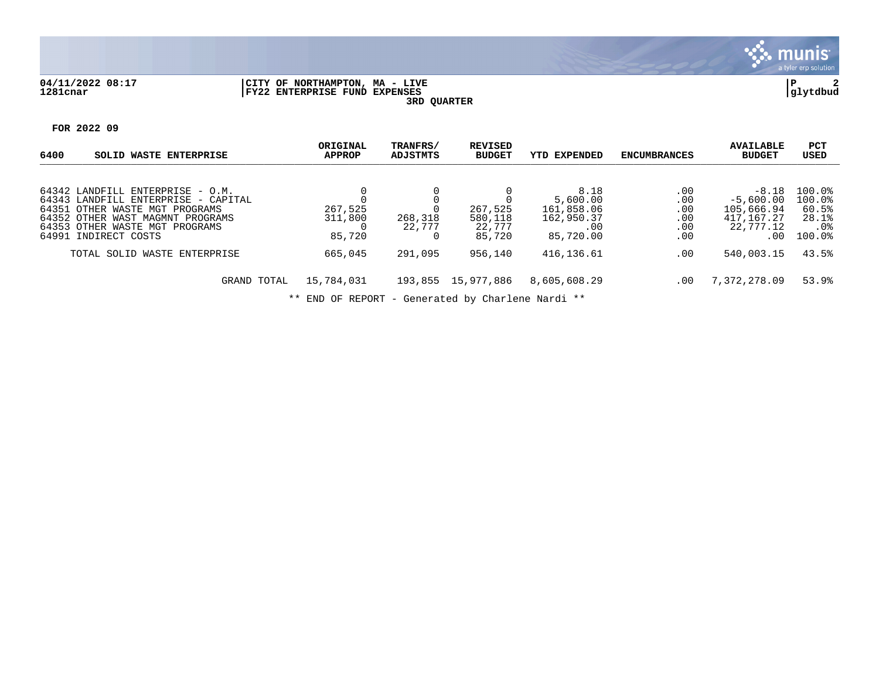

## **04/11/2022 08:17 |CITY OF NORTHAMPTON, MA - LIVE |P 2 1281cnar |FY22 ENTERPRISE FUND EXPENSES |glytdbud**





| 6400<br>SOLID WASTE ENTERPRISE                                                                                                                                                                          | ORIGINAL<br><b>APPROP</b>                | TRANFRS/<br>ADJSTMTS | <b>REVISED</b><br><b>BUDGET</b>        | <b>YTD EXPENDED</b>                                              | <b>ENCUMBRANCES</b>                    | <b>AVAILABLE</b><br><b>BUDGET</b>                                      | <b>PCT</b><br>USED                                     |
|---------------------------------------------------------------------------------------------------------------------------------------------------------------------------------------------------------|------------------------------------------|----------------------|----------------------------------------|------------------------------------------------------------------|----------------------------------------|------------------------------------------------------------------------|--------------------------------------------------------|
| 64342 LANDFILL ENTERPRISE - O.M.<br>64343 LANDFILL ENTERPRISE - CAPITAL<br>64351 OTHER WASTE MGT PROGRAMS<br>64352 OTHER WAST MAGMNT PROGRAMS<br>64353 OTHER WASTE MGT PROGRAMS<br>64991 INDIRECT COSTS | 267,525<br>311,800<br>$\Omega$<br>85,720 | 268,318<br>22,777    | 267,525<br>580,118<br>22.777<br>85,720 | 8.18<br>5,600.00<br>161,858.06<br>162,950.37<br>.00<br>85,720.00 | .00<br>.00<br>.00<br>.00<br>.00<br>.00 | $-8.18$<br>$-5.600.00$<br>105,666.94<br>417,167.27<br>22,777.12<br>.00 | 100.0%<br>100.0%<br>60.5%<br>28.1%<br>.0%<br>$100.0$ % |
| TOTAL SOLID WASTE ENTERPRISE<br>GRAND TOTAL                                                                                                                                                             | 665,045<br>15,784,031                    | 291,095              | 956,140<br>193,855 15,977,886          | 416,136.61<br>8,605,608.29                                       | $.00 \,$<br>$.00 \,$                   | 540,003.15<br>7,372,278.09                                             | 43.5%<br>53.9%                                         |

\*\* END OF REPORT - Generated by Charlene Nardi \*\*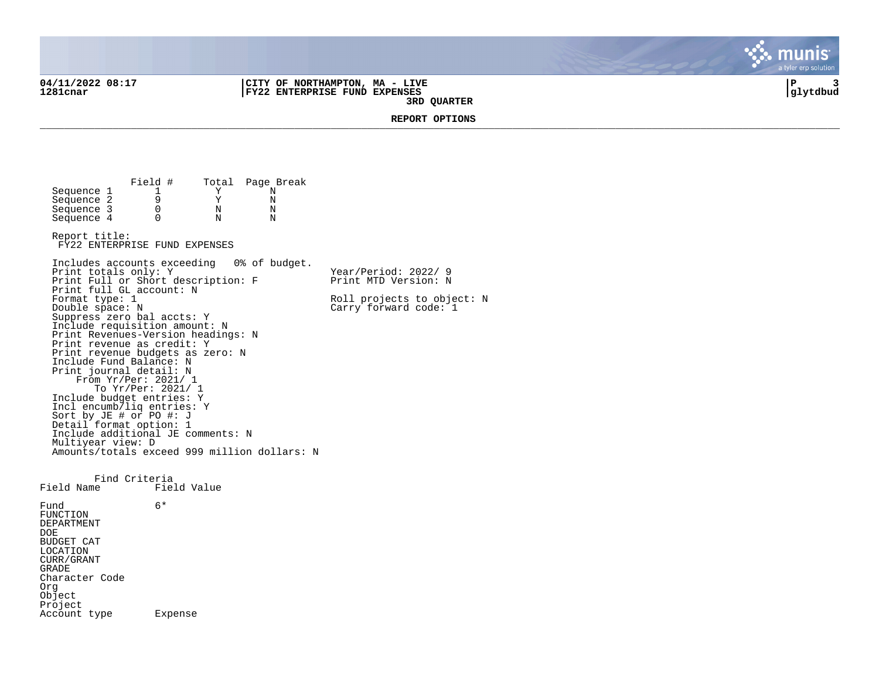**04/11/2022 08:17 |CITY OF NORTHAMPTON, MA - LIVE |P 3 1281cnar |FY22 ENTERPRISE FUND EXPENSES |glytdbud 3RD QUARTER**



**REPORT OPTIONS**  \_\_\_\_\_\_\_\_\_\_\_\_\_\_\_\_\_\_\_\_\_\_\_\_\_\_\_\_\_\_\_\_\_\_\_\_\_\_\_\_\_\_\_\_\_\_\_\_\_\_\_\_\_\_\_\_\_\_\_\_\_\_\_\_\_\_\_\_\_\_\_\_\_\_\_\_\_\_\_\_\_\_\_\_\_\_\_\_\_\_\_\_\_\_\_\_\_\_\_\_\_\_\_\_\_\_\_\_\_\_\_\_\_\_\_\_\_\_\_\_\_\_\_\_\_\_\_\_\_\_\_\_

Field # Total Page Break<br>1 Y N Sequence 1 1 Y N<br>Sequence 2 9 Y N Sequence 2 9 9 Y N<br>Sequence 3 0 N N Sequence 3 0 0 N N<br>Sequence 4 0 0 N N  $Sequence 4$ Report title: FY22 ENTERPRISE FUND EXPENSES Includes accounts exceeding 0% of budget. Print totals only: Y Y Year/Period: 2022/ 9 Print Full or Short description: F Print MTD Version: N Print full GL account: N<br>Format type: 1 Format type: 1 Roll projects to object: N<br>
Double space: N<br>
Carry forward code: 1  $Carry$  forward code:  $1$ Suppress zero bal accts: Y Include requisition amount: N Print Revenues-Version headings: N Print revenue as credit: Y Print revenue budgets as zero: N Include Fund Balance: N Print journal detail: N From Yr/Per: 2021/ 1 To Yr/Per: 2021/ 1 Include budget entries: Y Incl encumb/liq entries: Y Sort by JE # or PO #: J Detail format option: 1 Include additional JE comments: N Multiyear view: D Amounts/totals exceed 999 million dollars: N Find Criteria<br>Field Name Fiel Field Value Fund 6\* FUNCTION DEPARTMENT DOE BUDGET CAT LOCATION CURR/GRANT GRADE Character Code Org Object Project Account type Expense